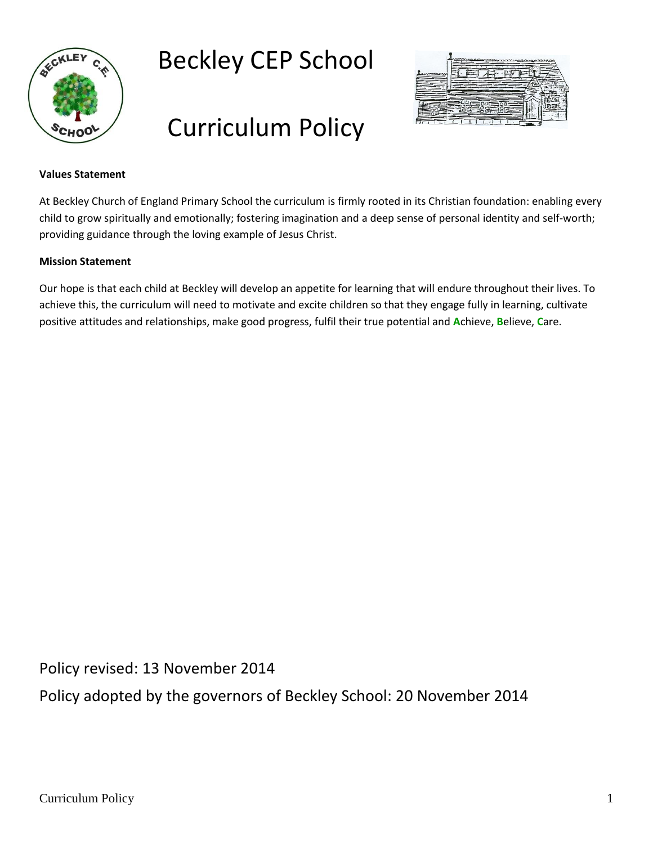

# Beckley CEP School

# Curriculum Policy



#### **Values Statement**

At Beckley Church of England Primary School the curriculum is firmly rooted in its Christian foundation: enabling every child to grow spiritually and emotionally; fostering imagination and a deep sense of personal identity and self-worth; providing guidance through the loving example of Jesus Christ.

#### **Mission Statement**

Our hope is that each child at Beckley will develop an appetite for learning that will endure throughout their lives. To achieve this, the curriculum will need to motivate and excite children so that they engage fully in learning, cultivate positive attitudes and relationships, make good progress, fulfil their true potential and **A**chieve, **B**elieve, **C**are.

Policy revised: 13 November 2014

Policy adopted by the governors of Beckley School: 20 November 2014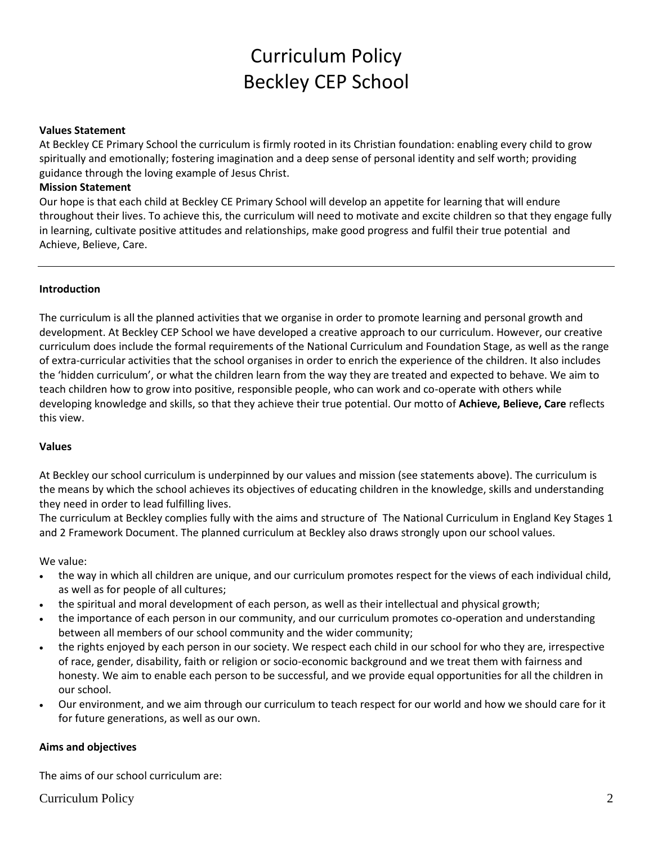# Curriculum Policy Beckley CEP School

#### **Values Statement**

At Beckley CE Primary School the curriculum is firmly rooted in its Christian foundation: enabling every child to grow spiritually and emotionally; fostering imagination and a deep sense of personal identity and self worth; providing guidance through the loving example of Jesus Christ.

#### **Mission Statement**

Our hope is that each child at Beckley CE Primary School will develop an appetite for learning that will endure throughout their lives. To achieve this, the curriculum will need to motivate and excite children so that they engage fully in learning, cultivate positive attitudes and relationships, make good progress and fulfil their true potential and Achieve, Believe, Care.

#### **Introduction**

The curriculum is all the planned activities that we organise in order to promote learning and personal growth and development. At Beckley CEP School we have developed a creative approach to our curriculum. However, our creative curriculum does include the formal requirements of the National Curriculum and Foundation Stage, as well as the range of extra-curricular activities that the school organises in order to enrich the experience of the children. It also includes the 'hidden curriculum', or what the children learn from the way they are treated and expected to behave. We aim to teach children how to grow into positive, responsible people, who can work and co-operate with others while developing knowledge and skills, so that they achieve their true potential. Our motto of **Achieve, Believe, Care** reflects this view.

#### **Values**

At Beckley our school curriculum is underpinned by our values and mission (see statements above). The curriculum is the means by which the school achieves its objectives of educating children in the knowledge, skills and understanding they need in order to lead fulfilling lives.

The curriculum at Beckley complies fully with the aims and structure of The National Curriculum in England Key Stages 1 and 2 Framework Document. The planned curriculum at Beckley also draws strongly upon our school values.

We value:

- the way in which all children are unique, and our curriculum promotes respect for the views of each individual child, as well as for people of all cultures;
- the spiritual and moral development of each person, as well as their intellectual and physical growth;
- the importance of each person in our community, and our curriculum promotes co-operation and understanding between all members of our school community and the wider community;
- the rights enjoyed by each person in our society. We respect each child in our school for who they are, irrespective of race, gender, disability, faith or religion or socio-economic background and we treat them with fairness and honesty. We aim to enable each person to be successful, and we provide equal opportunities for all the children in our school.
- Our environment, and we aim through our curriculum to teach respect for our world and how we should care for it for future generations, as well as our own.

#### **Aims and objectives**

The aims of our school curriculum are: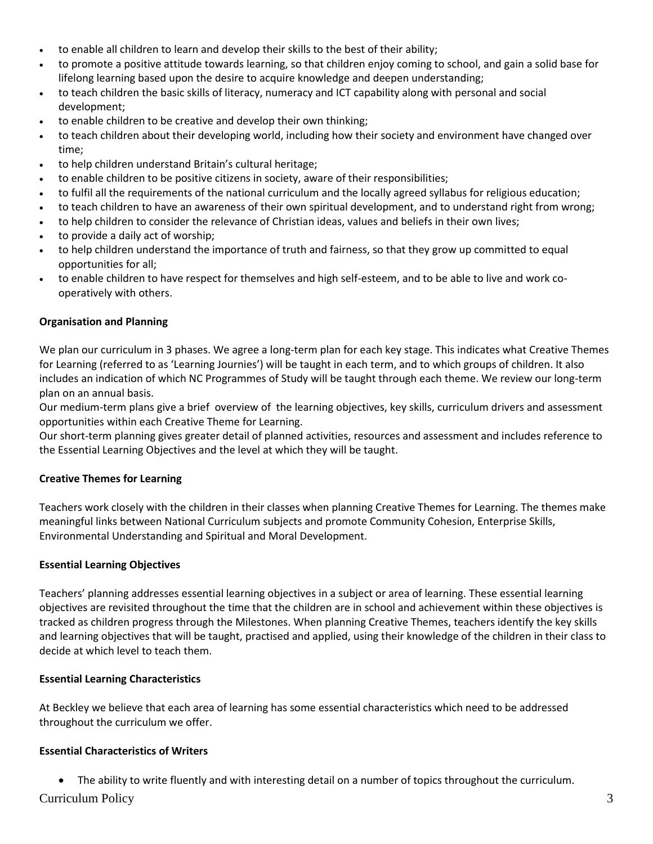- to enable all children to learn and develop their skills to the best of their ability;
- to promote a positive attitude towards learning, so that children enjoy coming to school, and gain a solid base for lifelong learning based upon the desire to acquire knowledge and deepen understanding;
- to teach children the basic skills of literacy, numeracy and ICT capability along with personal and social development;
- to enable children to be creative and develop their own thinking;
- to teach children about their developing world, including how their society and environment have changed over time;
- to help children understand Britain's cultural heritage;
- to enable children to be positive citizens in society, aware of their responsibilities;
- to fulfil all the requirements of the national curriculum and the locally agreed syllabus for religious education;
- to teach children to have an awareness of their own spiritual development, and to understand right from wrong;
- to help children to consider the relevance of Christian ideas, values and beliefs in their own lives;
- to provide a daily act of worship;
- to help children understand the importance of truth and fairness, so that they grow up committed to equal opportunities for all;
- to enable children to have respect for themselves and high self-esteem, and to be able to live and work cooperatively with others.

# **Organisation and Planning**

We plan our curriculum in 3 phases. We agree a long-term plan for each key stage. This indicates what Creative Themes for Learning (referred to as 'Learning Journies') will be taught in each term, and to which groups of children. It also includes an indication of which NC Programmes of Study will be taught through each theme. We review our long-term plan on an annual basis.

Our medium-term plans give a brief overview of the learning objectives, key skills, curriculum drivers and assessment opportunities within each Creative Theme for Learning.

Our short-term planning gives greater detail of planned activities, resources and assessment and includes reference to the Essential Learning Objectives and the level at which they will be taught.

# **Creative Themes for Learning**

Teachers work closely with the children in their classes when planning Creative Themes for Learning. The themes make meaningful links between National Curriculum subjects and promote Community Cohesion, Enterprise Skills, Environmental Understanding and Spiritual and Moral Development.

# **Essential Learning Objectives**

Teachers' planning addresses essential learning objectives in a subject or area of learning. These essential learning objectives are revisited throughout the time that the children are in school and achievement within these objectives is tracked as children progress through the Milestones. When planning Creative Themes, teachers identify the key skills and learning objectives that will be taught, practised and applied, using their knowledge of the children in their class to decide at which level to teach them.

# **Essential Learning Characteristics**

At Beckley we believe that each area of learning has some essential characteristics which need to be addressed throughout the curriculum we offer.

# **Essential Characteristics of Writers**

Curriculum Policy 3 • The ability to write fluently and with interesting detail on a number of topics throughout the curriculum.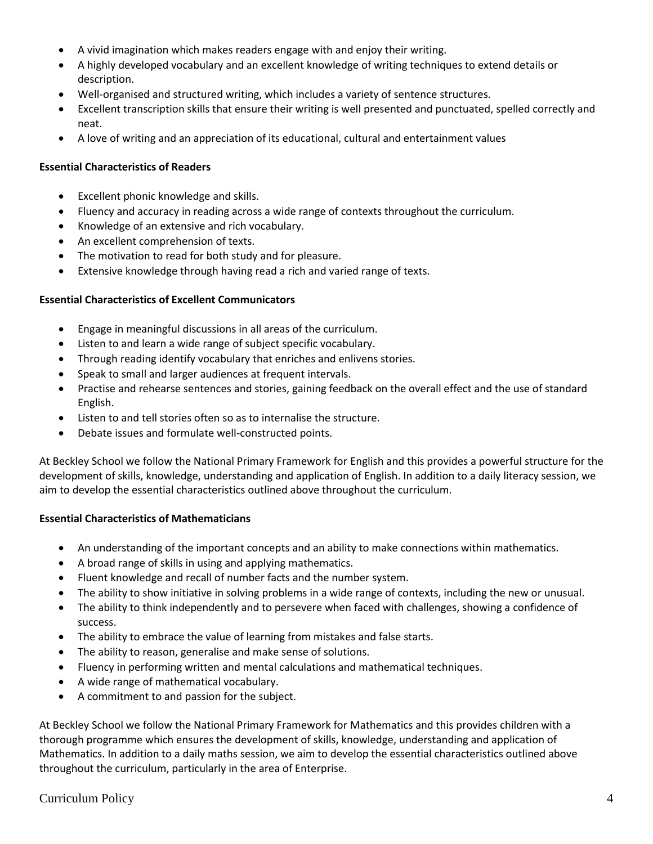- A vivid imagination which makes readers engage with and enjoy their writing.
- A highly developed vocabulary and an excellent knowledge of writing techniques to extend details or description.
- Well-organised and structured writing, which includes a variety of sentence structures.
- Excellent transcription skills that ensure their writing is well presented and punctuated, spelled correctly and neat.
- A love of writing and an appreciation of its educational, cultural and entertainment values

#### **Essential Characteristics of Readers**

- Excellent phonic knowledge and skills.
- Fluency and accuracy in reading across a wide range of contexts throughout the curriculum.
- Knowledge of an extensive and rich vocabulary.
- An excellent comprehension of texts.
- The motivation to read for both study and for pleasure.
- Extensive knowledge through having read a rich and varied range of texts.

#### **Essential Characteristics of Excellent Communicators**

- Engage in meaningful discussions in all areas of the curriculum.
- Listen to and learn a wide range of subject specific vocabulary.
- Through reading identify vocabulary that enriches and enlivens stories.
- Speak to small and larger audiences at frequent intervals.
- Practise and rehearse sentences and stories, gaining feedback on the overall effect and the use of standard English.
- Listen to and tell stories often so as to internalise the structure.
- Debate issues and formulate well-constructed points.

At Beckley School we follow the National Primary Framework for English and this provides a powerful structure for the development of skills, knowledge, understanding and application of English. In addition to a daily literacy session, we aim to develop the essential characteristics outlined above throughout the curriculum.

#### **Essential Characteristics of Mathematicians**

- An understanding of the important concepts and an ability to make connections within mathematics.
- A broad range of skills in using and applying mathematics.
- Fluent knowledge and recall of number facts and the number system.
- The ability to show initiative in solving problems in a wide range of contexts, including the new or unusual.
- The ability to think independently and to persevere when faced with challenges, showing a confidence of success.
- The ability to embrace the value of learning from mistakes and false starts.
- The ability to reason, generalise and make sense of solutions.
- Fluency in performing written and mental calculations and mathematical techniques.
- A wide range of mathematical vocabulary.
- A commitment to and passion for the subject.

At Beckley School we follow the National Primary Framework for Mathematics and this provides children with a thorough programme which ensures the development of skills, knowledge, understanding and application of Mathematics. In addition to a daily maths session, we aim to develop the essential characteristics outlined above throughout the curriculum, particularly in the area of Enterprise.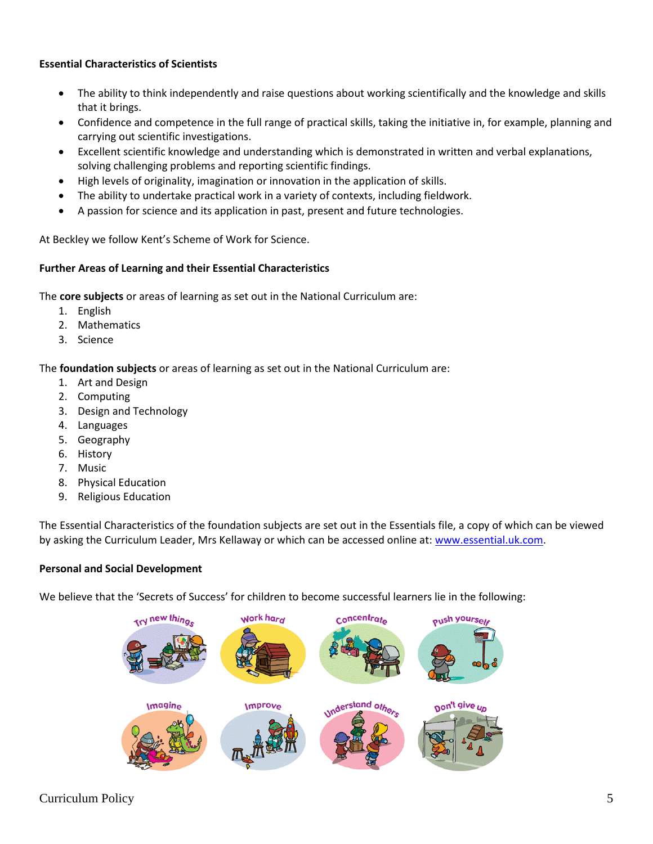# **Essential Characteristics of Scientists**

- The ability to think independently and raise questions about working scientifically and the knowledge and skills that it brings.
- Confidence and competence in the full range of practical skills, taking the initiative in, for example, planning and carrying out scientific investigations.
- Excellent scientific knowledge and understanding which is demonstrated in written and verbal explanations, solving challenging problems and reporting scientific findings.
- High levels of originality, imagination or innovation in the application of skills.
- The ability to undertake practical work in a variety of contexts, including fieldwork.
- A passion for science and its application in past, present and future technologies.

At Beckley we follow Kent's Scheme of Work for Science.

#### **Further Areas of Learning and their Essential Characteristics**

The **core subjects** or areas of learning as set out in the National Curriculum are:

- 1. English
- 2. Mathematics
- 3. Science

# The **foundation subjects** or areas of learning as set out in the National Curriculum are:

- 1. Art and Design
- 2. Computing
- 3. Design and Technology
- 4. Languages
- 5. Geography
- 6. History
- 7. Music
- 8. Physical Education
- 9. Religious Education

The Essential Characteristics of the foundation subjects are set out in the Essentials file, a copy of which can be viewed by asking the Curriculum Leader, Mrs Kellaway or which can be accessed online at: [www.essential.uk.com.](http://www.essential.uk.com/)

# **Personal and Social Development**

We believe that the 'Secrets of Success' for children to become successful learners lie in the following:

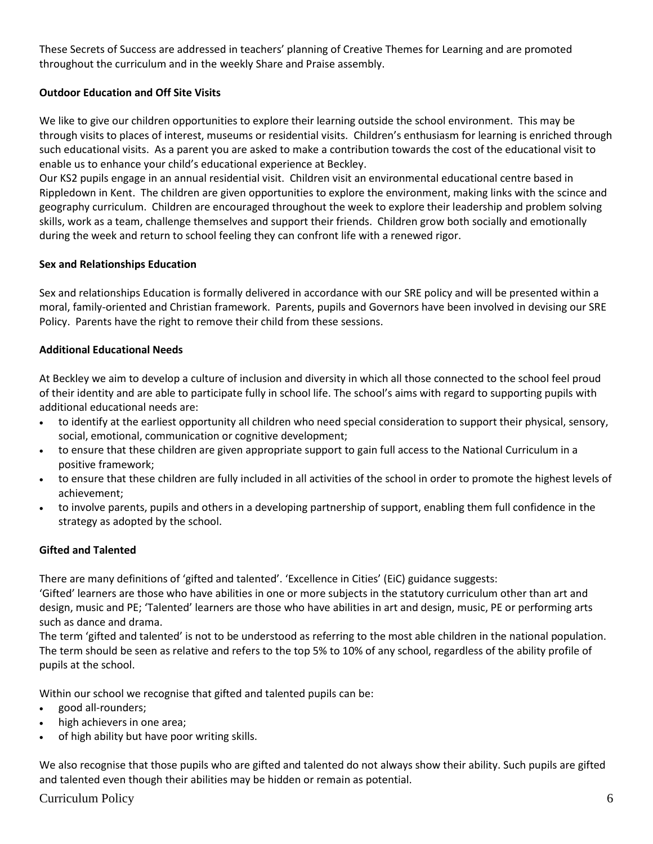These Secrets of Success are addressed in teachers' planning of Creative Themes for Learning and are promoted throughout the curriculum and in the weekly Share and Praise assembly.

# **Outdoor Education and Off Site Visits**

We like to give our children opportunities to explore their learning outside the school environment. This may be through visits to places of interest, museums or residential visits. Children's enthusiasm for learning is enriched through such educational visits. As a parent you are asked to make a contribution towards the cost of the educational visit to enable us to enhance your child's educational experience at Beckley.

Our KS2 pupils engage in an annual residential visit. Children visit an environmental educational centre based in Rippledown in Kent. The children are given opportunities to explore the environment, making links with the scince and geography curriculum. Children are encouraged throughout the week to explore their leadership and problem solving skills, work as a team, challenge themselves and support their friends. Children grow both socially and emotionally during the week and return to school feeling they can confront life with a renewed rigor.

#### **Sex and Relationships Education**

Sex and relationships Education is formally delivered in accordance with our SRE policy and will be presented within a moral, family-oriented and Christian framework. Parents, pupils and Governors have been involved in devising our SRE Policy. Parents have the right to remove their child from these sessions.

#### **Additional Educational Needs**

At Beckley we aim to develop a culture of inclusion and diversity in which all those connected to the school feel proud of their identity and are able to participate fully in school life. The school's aims with regard to supporting pupils with additional educational needs are:

- to identify at the earliest opportunity all children who need special consideration to support their physical, sensory, social, emotional, communication or cognitive development;
- to ensure that these children are given appropriate support to gain full access to the National Curriculum in a positive framework;
- to ensure that these children are fully included in all activities of the school in order to promote the highest levels of achievement;
- to involve parents, pupils and others in a developing partnership of support, enabling them full confidence in the strategy as adopted by the school.

#### **Gifted and Talented**

There are many definitions of 'gifted and talented'. 'Excellence in Cities' (EiC) guidance suggests:

'Gifted' learners are those who have abilities in one or more subjects in the statutory curriculum other than art and design, music and PE; 'Talented' learners are those who have abilities in art and design, music, PE or performing arts such as dance and drama.

The term 'gifted and talented' is not to be understood as referring to the most able children in the national population. The term should be seen as relative and refers to the top 5% to 10% of any school, regardless of the ability profile of pupils at the school.

Within our school we recognise that gifted and talented pupils can be:

- good all-rounders;
- high achievers in one area;
- of high ability but have poor writing skills.

We also recognise that those pupils who are gifted and talented do not always show their ability. Such pupils are gifted and talented even though their abilities may be hidden or remain as potential.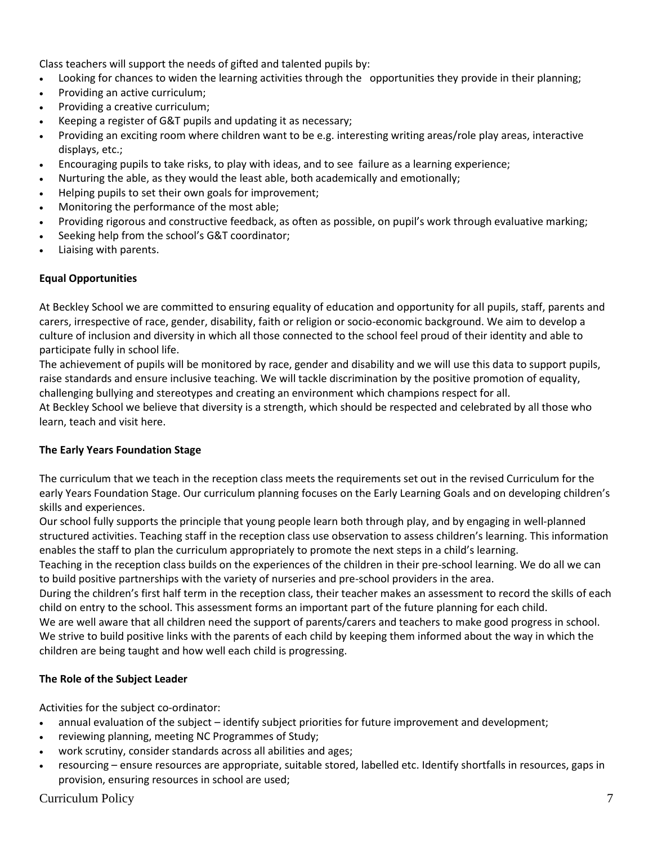Class teachers will support the needs of gifted and talented pupils by:

- Looking for chances to widen the learning activities through the opportunities they provide in their planning;
- Providing an active curriculum;
- Providing a creative curriculum;
- Keeping a register of G&T pupils and updating it as necessary;
- Providing an exciting room where children want to be e.g. interesting writing areas/role play areas, interactive displays, etc.;
- Encouraging pupils to take risks, to play with ideas, and to see failure as a learning experience;
- Nurturing the able, as they would the least able, both academically and emotionally;
- Helping pupils to set their own goals for improvement;
- Monitoring the performance of the most able;
- Providing rigorous and constructive feedback, as often as possible, on pupil's work through evaluative marking;
- Seeking help from the school's G&T coordinator;
- Liaising with parents.

# **Equal Opportunities**

At Beckley School we are committed to ensuring equality of education and opportunity for all pupils, staff, parents and carers, irrespective of race, gender, disability, faith or religion or socio-economic background. We aim to develop a culture of inclusion and diversity in which all those connected to the school feel proud of their identity and able to participate fully in school life.

The achievement of pupils will be monitored by race, gender and disability and we will use this data to support pupils, raise standards and ensure inclusive teaching. We will tackle discrimination by the positive promotion of equality, challenging bullying and stereotypes and creating an environment which champions respect for all.

At Beckley School we believe that diversity is a strength, which should be respected and celebrated by all those who learn, teach and visit here.

# **The Early Years Foundation Stage**

The curriculum that we teach in the reception class meets the requirements set out in the revised Curriculum for the early Years Foundation Stage. Our curriculum planning focuses on the Early Learning Goals and on developing children's skills and experiences.

Our school fully supports the principle that young people learn both through play, and by engaging in well-planned structured activities. Teaching staff in the reception class use observation to assess children's learning. This information enables the staff to plan the curriculum appropriately to promote the next steps in a child's learning.

Teaching in the reception class builds on the experiences of the children in their pre-school learning. We do all we can to build positive partnerships with the variety of nurseries and pre-school providers in the area.

During the children's first half term in the reception class, their teacher makes an assessment to record the skills of each child on entry to the school. This assessment forms an important part of the future planning for each child.

We are well aware that all children need the support of parents/carers and teachers to make good progress in school. We strive to build positive links with the parents of each child by keeping them informed about the way in which the children are being taught and how well each child is progressing.

# **The Role of the Subject Leader**

Activities for the subject co-ordinator:

- annual evaluation of the subject identify subject priorities for future improvement and development;
- reviewing planning, meeting NC Programmes of Study;
- work scrutiny, consider standards across all abilities and ages;
- resourcing ensure resources are appropriate, suitable stored, labelled etc. Identify shortfalls in resources, gaps in provision, ensuring resources in school are used;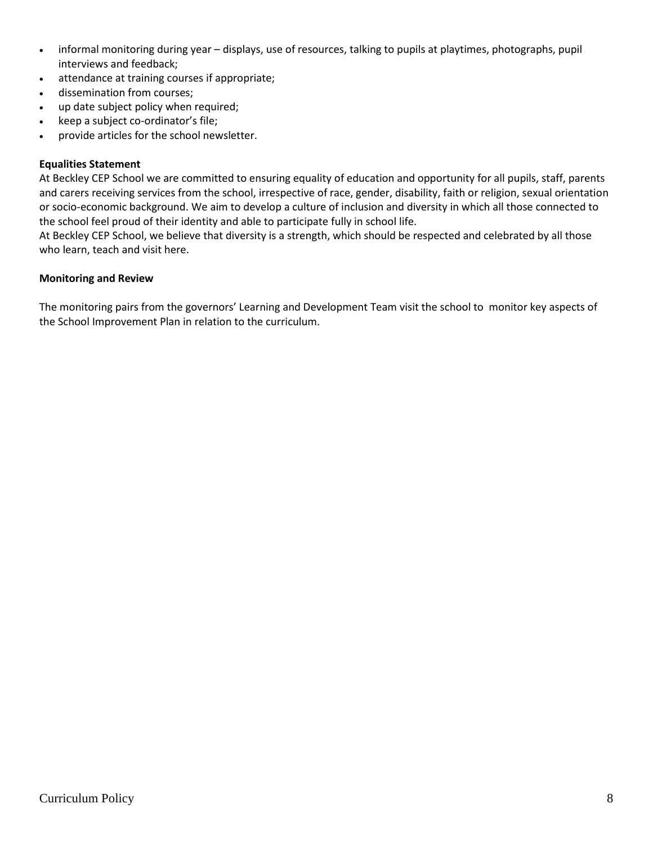- informal monitoring during year displays, use of resources, talking to pupils at playtimes, photographs, pupil interviews and feedback;
- attendance at training courses if appropriate;
- dissemination from courses;
- up date subject policy when required;
- keep a subject co-ordinator's file;
- provide articles for the school newsletter.

#### **Equalities Statement**

At Beckley CEP School we are committed to ensuring equality of education and opportunity for all pupils, staff, parents and carers receiving services from the school, irrespective of race, gender, disability, faith or religion, sexual orientation or socio-economic background. We aim to develop a culture of inclusion and diversity in which all those connected to the school feel proud of their identity and able to participate fully in school life.

At Beckley CEP School, we believe that diversity is a strength, which should be respected and celebrated by all those who learn, teach and visit here.

#### **Monitoring and Review**

The monitoring pairs from the governors' Learning and Development Team visit the school to monitor key aspects of the School Improvement Plan in relation to the curriculum.